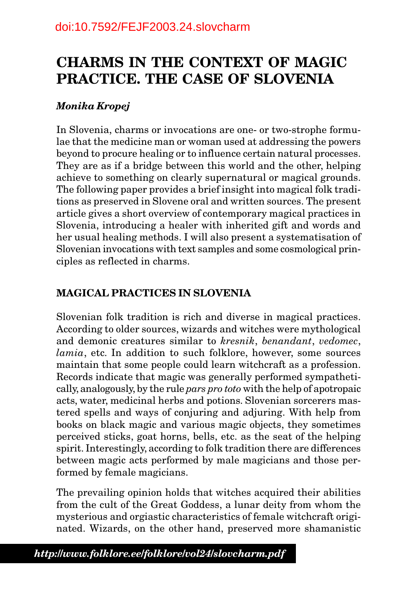# **CHARMS IN THE CONTEXT OF MAGIC PRACTICE. THE CASE OF SLOVENIA**

# *Monika Kropej*

In Slovenia, charms or invocations are one- or two-strophe formulae that the medicine man or woman used at addressing the powers beyond to procure healing or to influence certain natural processes. They are as if a bridge between this world and the other, helping achieve to something on clearly supernatural or magical grounds. The following paper provides a brief insight into magical folk traditions as preserved in Slovene oral and written sources. The present article gives a short overview of contemporary magical practices in Slovenia, introducing a healer with inherited gift and words and her usual healing methods. I will also present a systematisation of Slovenian invocations with text samples and some cosmological principles as reflected in charms.

# **MAGICAL PRACTICES IN SLOVENIA**

Slovenian folk tradition is rich and diverse in magical practices. According to older sources, wizards and witches were mythological and demonic creatures similar to *kresnik*, *benandant*, *vedomec*, *lamia*, etc. In addition to such folklore, however, some sources maintain that some people could learn witchcraft as a profession. Records indicate that magic was generally performed sympathetically, analogously, by the rule *pars pro toto* with the help of apotropaic acts, water, medicinal herbs and potions. Slovenian sorcerers mastered spells and ways of conjuring and adjuring. With help from books on black magic and various magic objects, they sometimes perceived sticks, goat horns, bells, etc. as the seat of the helping spirit. Interestingly, according to folk tradition there are differences between magic acts performed by male magicians and those performed by female magicians.

The prevailing opinion holds that witches acquired their abilities from the cult of the Great Goddess, a lunar deity from whom the mysterious and orgiastic characteristics of female witchcraft originated. Wizards, on the other hand, preserved more shamanistic

*www.folklore.ee/folklore/vol24* 62 *http://www.folklore.ee/folklore/vol24/slovcharm.pdf*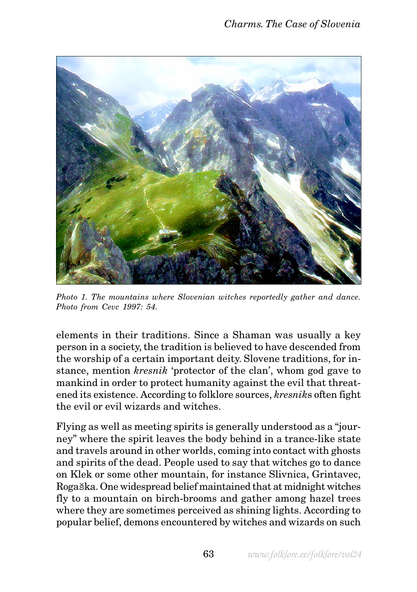

*Photo 1. The mountains where Slovenian witches reportedly gather and dance. Photo from Cevc 1997: 54.*

elements in their traditions. Since a Shaman was usually a key person in a society, the tradition is believed to have descended from the worship of a certain important deity. Slovene traditions, for instance, mention *kresnik* 'protector of the clan', whom god gave to mankind in order to protect humanity against the evil that threatened its existence. According to folklore sources, *kresnik*s often fight the evil or evil wizards and witches.

Flying as well as meeting spirits is generally understood as a "journey" where the spirit leaves the body behind in a trance-like state and travels around in other worlds, coming into contact with ghosts and spirits of the dead. People used to say that witches go to dance on Klek or some other mountain, for instance Slivnica, Grintavec, Rogaška. One widespread belief maintained that at midnight witches fly to a mountain on birch-brooms and gather among hazel trees where they are sometimes perceived as shining lights. According to popular belief, demons encountered by witches and wizards on such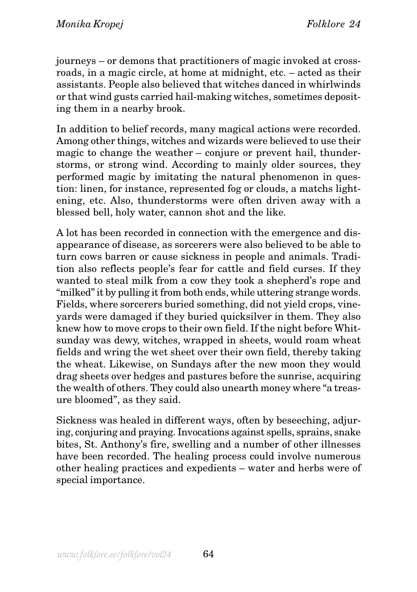journeys – or demons that practitioners of magic invoked at crossroads, in a magic circle, at home at midnight, etc. – acted as their assistants. People also believed that witches danced in whirlwinds or that wind gusts carried hail-making witches, sometimes depositing them in a nearby brook.

In addition to belief records, many magical actions were recorded. Among other things, witches and wizards were believed to use their magic to change the weather – conjure or prevent hail, thunderstorms, or strong wind. According to mainly older sources, they performed magic by imitating the natural phenomenon in question: linen, for instance, represented fog or clouds, a matchs lightening, etc. Also, thunderstorms were often driven away with a blessed bell, holy water, cannon shot and the like.

A lot has been recorded in connection with the emergence and disappearance of disease, as sorcerers were also believed to be able to turn cows barren or cause sickness in people and animals. Tradition also reflects people's fear for cattle and field curses. If they wanted to steal milk from a cow they took a shepherd's rope and "milked" it by pulling it from both ends, while uttering strange words. Fields, where sorcerers buried something, did not yield crops, vineyards were damaged if they buried quicksilver in them. They also knew how to move crops to their own field. If the night before Whitsunday was dewy, witches, wrapped in sheets, would roam wheat fields and wring the wet sheet over their own field, thereby taking the wheat. Likewise, on Sundays after the new moon they would drag sheets over hedges and pastures before the sunrise, acquiring the wealth of others. They could also unearth money where "a treasure bloomed", as they said.

Sickness was healed in different ways, often by beseeching, adjuring, conjuring and praying. Invocations against spells, sprains, snake bites, St. Anthony's fire, swelling and a number of other illnesses have been recorded. The healing process could involve numerous other healing practices and expedients – water and herbs were of special importance.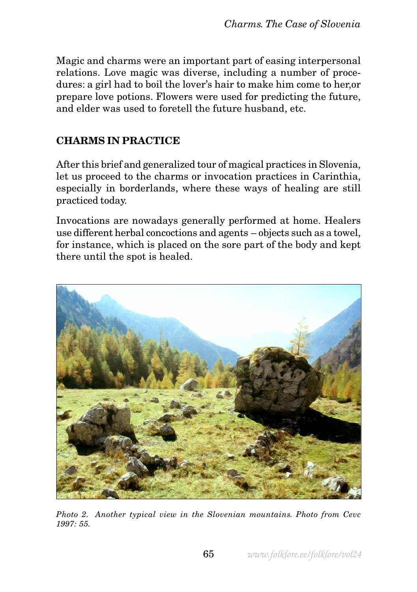Magic and charms were an important part of easing interpersonal relations. Love magic was diverse, including a number of procedures: a girl had to boil the lover's hair to make him come to her,or prepare love potions. Flowers were used for predicting the future, and elder was used to foretell the future husband, etc.

### **CHARMS IN PRACTICE**

After this brief and generalized tour of magical practices in Slovenia, let us proceed to the charms or invocation practices in Carinthia, especially in borderlands, where these ways of healing are still practiced today.

Invocations are nowadays generally performed at home. Healers use different herbal concoctions and agents – objects such as a towel, for instance, which is placed on the sore part of the body and kept there until the spot is healed.



*Photo 2. Another typical view in the Slovenian mountains. Photo from Cevc 1997: 55.*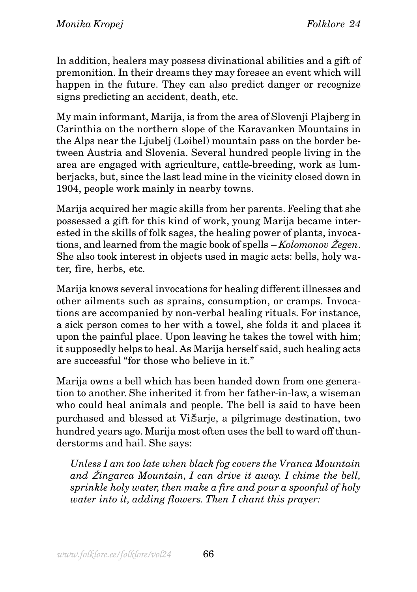In addition, healers may possess divinational abilities and a gift of premonition. In their dreams they may foresee an event which will happen in the future. They can also predict danger or recognize signs predicting an accident, death, etc.

My main informant, Marija, is from the area of Slovenji Plajberg in Carinthia on the northern slope of the Karavanken Mountains in the Alps near the Ljubelj (Loibel) mountain pass on the border between Austria and Slovenia. Several hundred people living in the area are engaged with agriculture, cattle-breeding, work as lumberjacks, but, since the last lead mine in the vicinity closed down in 1904, people work mainly in nearby towns.

Marija acquired her magic skills from her parents. Feeling that she possessed a gift for this kind of work, young Marija became interested in the skills of folk sages, the healing power of plants, invocations, and learned from the magic book of spells – *Kolomonov* Ž*egen*. She also took interest in objects used in magic acts: bells, holy water, fire, herbs, etc.

Marija knows several invocations for healing different illnesses and other ailments such as sprains, consumption, or cramps. Invocations are accompanied by non-verbal healing rituals. For instance, a sick person comes to her with a towel, she folds it and places it upon the painful place. Upon leaving he takes the towel with him; it supposedly helps to heal. As Marija herself said, such healing acts are successful "for those who believe in it."

Marija owns a bell which has been handed down from one generation to another. She inherited it from her father-in-law, a wiseman who could heal animals and people. The bell is said to have been purchased and blessed at Višarje, a pilgrimage destination, two hundred years ago. Marija most often uses the bell to ward off thunderstorms and hail. She says:

*Unless I am too late when black fog covers the Vranca Mountain and* Ž*ingarca Mountain, I can drive it away. I chime the bell, sprinkle holy water, then make a fire and pour a spoonful of holy water into it, adding flowers. Then I chant this prayer:*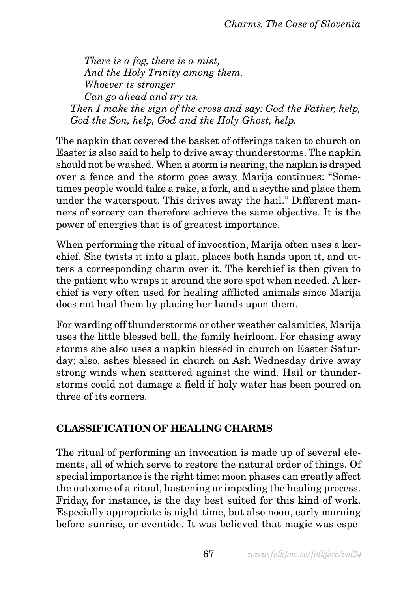*There is a fog, there is a mist, And the Holy Trinity among them. Whoever is stronger Can go ahead and try us. Then I make the sign of the cross and say: God the Father, help, God the Son, help, God and the Holy Ghost, help.*

The napkin that covered the basket of offerings taken to church on Easter is also said to help to drive away thunderstorms. The napkin should not be washed. When a storm is nearing, the napkin is draped over a fence and the storm goes away. Marija continues: "Sometimes people would take a rake, a fork, and a scythe and place them under the waterspout. This drives away the hail." Different manners of sorcery can therefore achieve the same objective. It is the power of energies that is of greatest importance.

When performing the ritual of invocation, Marija often uses a kerchief. She twists it into a plait, places both hands upon it, and utters a corresponding charm over it. The kerchief is then given to the patient who wraps it around the sore spot when needed. A kerchief is very often used for healing afflicted animals since Marija does not heal them by placing her hands upon them.

For warding off thunderstorms or other weather calamities, Marija uses the little blessed bell, the family heirloom. For chasing away storms she also uses a napkin blessed in church on Easter Saturday; also, ashes blessed in church on Ash Wednesday drive away strong winds when scattered against the wind. Hail or thunderstorms could not damage a field if holy water has been poured on three of its corners.

#### **CLASSIFICATION OF HEALING CHARMS**

The ritual of performing an invocation is made up of several elements, all of which serve to restore the natural order of things. Of special importance is the right time: moon phases can greatly affect the outcome of a ritual, hastening or impeding the healing process. Friday, for instance, is the day best suited for this kind of work. Especially appropriate is night-time, but also noon, early morning before sunrise, or eventide. It was believed that magic was espe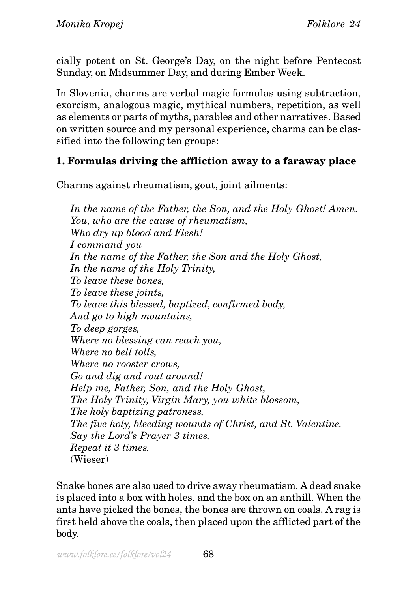cially potent on St. George's Day, on the night before Pentecost Sunday, on Midsummer Day, and during Ember Week.

In Slovenia, charms are verbal magic formulas using subtraction, exorcism, analogous magic, mythical numbers, repetition, as well as elements or parts of myths, parables and other narratives. Based on written source and my personal experience, charms can be classified into the following ten groups:

## **1. Formulas driving the affliction away to a faraway place**

Charms against rheumatism, gout, joint ailments:

*In the name of the Father, the Son, and the Holy Ghost! Amen. You, who are the cause of rheumatism, Who dry up blood and Flesh! I command you In the name of the Father, the Son and the Holy Ghost, In the name of the Holy Trinity, To leave these bones, To leave these joints, To leave this blessed, baptized, confirmed body, And go to high mountains, To deep gorges, Where no blessing can reach you, Where no bell tolls, Where no rooster crows, Go and dig and rout around! Help me, Father, Son, and the Holy Ghost, The Holy Trinity, Virgin Mary, you white blossom, The holy baptizing patroness, The five holy, bleeding wounds of Christ, and St. Valentine. Say the Lord's Prayer 3 times, Repeat it 3 times.* (Wieser)

Snake bones are also used to drive away rheumatism. A dead snake is placed into a box with holes, and the box on an anthill. When the ants have picked the bones, the bones are thrown on coals. A rag is first held above the coals, then placed upon the afflicted part of the body.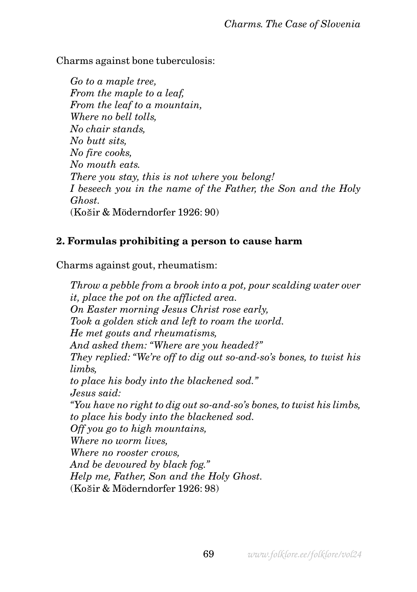Charms against bone tuberculosis:

*Go to a maple tree, From the maple to a leaf, From the leaf to a mountain, Where no bell tolls, No chair stands, No butt sits, No fire cooks, No mouth eats. There you stay, this is not where you belong! I beseech you in the name of the Father, the Son and the Holy Ghost.* (Košir & Möderndorfer 1926: 90)

## **2. Formulas prohibiting a person to cause harm**

Charms against gout, rheumatism:

*Throw a pebble from a brook into a pot, pour scalding water over it, place the pot on the afflicted area. On Easter morning Jesus Christ rose early, Took a golden stick and left to roam the world. He met gouts and rheumatisms, And asked them: "Where are you headed?" They replied: "We're off to dig out so-and-so's bones, to twist his limbs, to place his body into the blackened sod." Jesus said: "You have no right to dig out so-and-so's bones, to twist his limbs, to place his body into the blackened sod. Off you go to high mountains, Where no worm lives, Where no rooster crows, And be devoured by black fog." Help me, Father, Son and the Holy Ghost.* (Košir & Möderndorfer 1926: 98)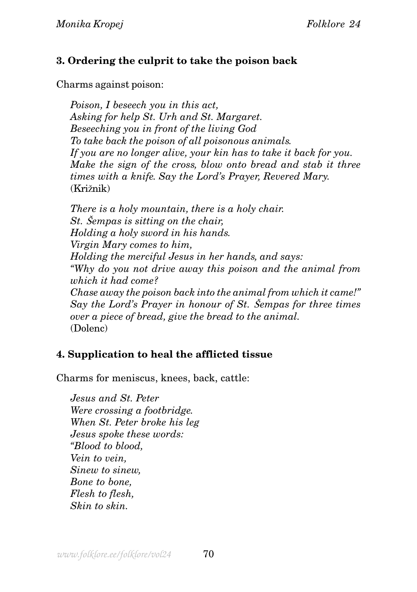## **3. Ordering the culprit to take the poison back**

Charms against poison:

*Poison, I beseech you in this act, Asking for help St. Urh and St. Margaret. Beseeching you in front of the living God To take back the poison of all poisonous animals. If you are no longer alive, your kin has to take it back for you. Make the sign of the cross, blow onto bread and stab it three times with a knife. Say the Lord's Prayer, Revered Mary.* (Križnik)

*There is a holy mountain, there is a holy chair. St.* Š*empas is sitting on the chair, Holding a holy sword in his hands. Virgin Mary comes to him, Holding the merciful Jesus in her hands, and says: "Why do you not drive away this poison and the animal from which it had come? Chase away the poison back into the animal from which it came!" Say the Lord's Prayer in honour of St.* Š*empas for three times over a piece of bread, give the bread to the animal.* (Dolenc)

## **4. Supplication to heal the afflicted tissue**

Charms for meniscus, knees, back, cattle:

*Jesus and St. Peter Were crossing a footbridge. When St. Peter broke his leg Jesus spoke these words: "Blood to blood, Vein to vein, Sinew to sinew, Bone to bone, Flesh to flesh, Skin to skin.*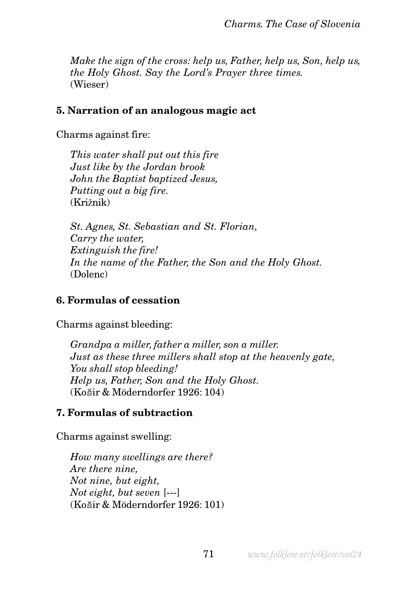*Make the sign of the cross: help us, Father, help us, Son, help us, the Holy Ghost. Say the Lord's Prayer three times.* (Wieser)

#### **5. Narration of an analogous magic act**

Charms against fire:

*This water shall put out this fire Just like by the Jordan brook John the Baptist baptized Jesus, Putting out a big fire.* (Križnik)

*St. Agnes, St. Sebastian and St. Florian, Carry the water, Extinguish the fire! In the name of the Father, the Son and the Holy Ghost.* (Dolenc)

#### **6. Formulas of cessation**

Charms against bleeding:

*Grandpa a miller, father a miller, son a miller. Just as these three millers shall stop at the heavenly gate, You shall stop bleeding! Help us, Father, Son and the Holy Ghost.* (Košir & Möderndorfer 1926: 104)

#### **7. Formulas of subtraction**

Charms against swelling:

*How many swellings are there? Are there nine, Not nine, but eight, Not eight, but seven* [---] (Košir & Möderndorfer 1926: 101)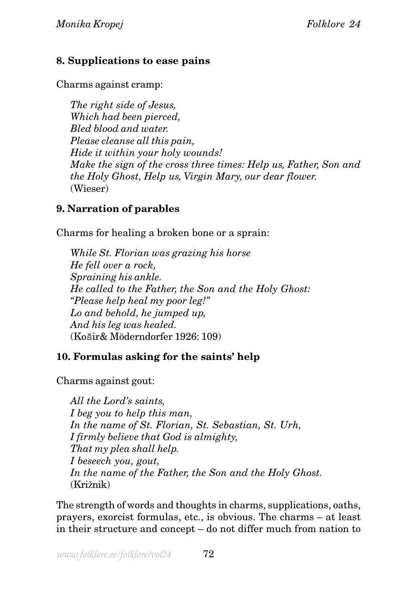## **8. Supplications to ease pains**

Charms against cramp:

*The right side of Jesus, Which had been pierced, Bled blood and water. Please cleanse all this pain, Hide it within your holy wounds! Make the sign of the cross three times: Help us, Father, Son and the Holy Ghost, Help us, Virgin Mary, our dear flower.* (Wieser)

## **9. Narration of parables**

Charms for healing a broken bone or a sprain:

*While St. Florian was grazing his horse He fell over a rock, Spraining his ankle. He called to the Father, the Son and the Holy Ghost: "Please help heal my poor leg!" Lo and behold, he jumped up, And his leg was healed.* (Košir& Möderndorfer 1926: 109)

## **10. Formulas asking for the saints' help**

Charms against gout:

*All the Lord's saints, I beg you to help this man, In the name of St. Florian, St. Sebastian, St. Urh, I firmly believe that God is almighty, That my plea shall help. I beseech you, gout, In the name of the Father, the Son and the Holy Ghost.* (Križnik)

The strength of words and thoughts in charms, supplications, oaths, prayers, exorcist formulas, etc., is obvious. The charms – at least in their structure and concept – do not differ much from nation to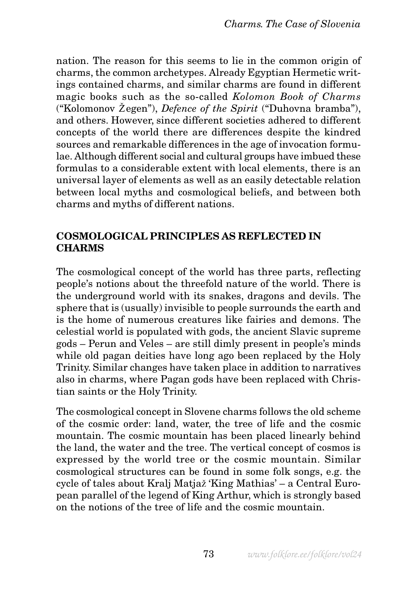nation. The reason for this seems to lie in the common origin of charms, the common archetypes. Already Egyptian Hermetic writings contained charms, and similar charms are found in different magic books such as the so-called *Kolomon Book of Charms* ("Kolomonov Žegen"), *Defence of the Spirit* ("Duhovna bramba"), and others. However, since different societies adhered to different concepts of the world there are differences despite the kindred sources and remarkable differences in the age of invocation formulae. Although different social and cultural groups have imbued these formulas to a considerable extent with local elements, there is an universal layer of elements as well as an easily detectable relation between local myths and cosmological beliefs, and between both charms and myths of different nations.

#### **COSMOLOGICAL PRINCIPLES AS REFLECTED IN CHARMS**

The cosmological concept of the world has three parts, reflecting people's notions about the threefold nature of the world. There is the underground world with its snakes, dragons and devils. The sphere that is (usually) invisible to people surrounds the earth and is the home of numerous creatures like fairies and demons. The celestial world is populated with gods, the ancient Slavic supreme gods – Perun and Veles – are still dimly present in people's minds while old pagan deities have long ago been replaced by the Holy Trinity. Similar changes have taken place in addition to narratives also in charms, where Pagan gods have been replaced with Christian saints or the Holy Trinity.

The cosmological concept in Slovene charms follows the old scheme of the cosmic order: land, water, the tree of life and the cosmic mountain. The cosmic mountain has been placed linearly behind the land, the water and the tree. The vertical concept of cosmos is expressed by the world tree or the cosmic mountain. Similar cosmological structures can be found in some folk songs, e.g. the cycle of tales about Kralj Matjaž 'King Mathias' – a Central European parallel of the legend of King Arthur, which is strongly based on the notions of the tree of life and the cosmic mountain.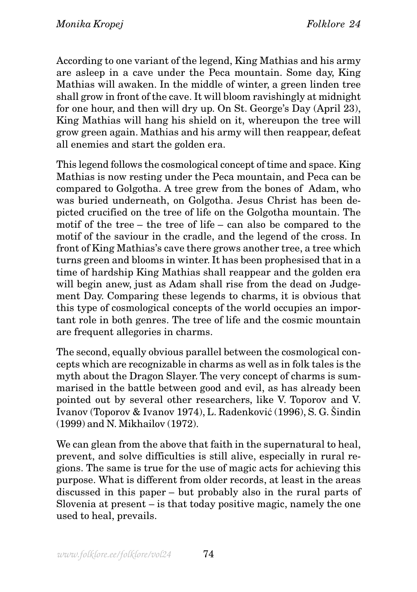According to one variant of the legend, King Mathias and his army are asleep in a cave under the Peca mountain. Some day, King Mathias will awaken. In the middle of winter, a green linden tree shall grow in front of the cave. It will bloom ravishingly at midnight for one hour, and then will dry up. On St. George's Day (April 23), King Mathias will hang his shield on it, whereupon the tree will grow green again. Mathias and his army will then reappear, defeat all enemies and start the golden era.

This legend follows the cosmological concept of time and space. King Mathias is now resting under the Peca mountain, and Peca can be compared to Golgotha. A tree grew from the bones of Adam, who was buried underneath, on Golgotha. Jesus Christ has been depicted crucified on the tree of life on the Golgotha mountain. The motif of the tree – the tree of life – can also be compared to the motif of the saviour in the cradle, and the legend of the cross. In front of King Mathias's cave there grows another tree, a tree which turns green and blooms in winter. It has been prophesised that in a time of hardship King Mathias shall reappear and the golden era will begin anew, just as Adam shall rise from the dead on Judgement Day. Comparing these legends to charms, it is obvious that this type of cosmological concepts of the world occupies an important role in both genres. The tree of life and the cosmic mountain are frequent allegories in charms.

The second, equally obvious parallel between the cosmological concepts which are recognizable in charms as well as in folk tales is the myth about the Dragon Slayer. The very concept of charms is summarised in the battle between good and evil, as has already been pointed out by several other researchers, like V. Toporov and V. Ivanov (Toporov & Ivanov 1974), L. Radenković (1996), S. G. Šindin (1999) and N. Mikhailov (1972).

We can glean from the above that faith in the supernatural to heal, prevent, and solve difficulties is still alive, especially in rural regions. The same is true for the use of magic acts for achieving this purpose. What is different from older records, at least in the areas discussed in this paper – but probably also in the rural parts of Slovenia at present – is that today positive magic, namely the one used to heal, prevails.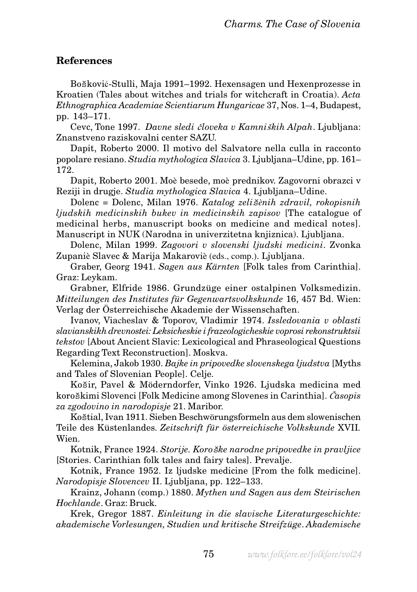#### **References**

Bošković-Stulli, Maja 1991–1992. Hexensagen und Hexenprozesse in Kroatien (Tales about witches and trials for witchcraft in Croatia). *Acta Ethnographica Academiae Scientiarum Hungaricae* 37, Nos. 1–4, Budapest, pp. 143–171.

Cevc, Tone 1997. *Davne sledi* č *loveka v Kamni*š*kih Alpah*. Ljubljana: Znanstveno raziskovalni center SAZU.

Dapit, Roberto 2000. Il motivo del Salvatore nella culla in racconto popolare resiano. *Studia mythologica Slavica* 3. Ljubljana–Udine, pp. 161– 172.

Dapit, Roberto 2001. Moè besede, moè prednikov. Zagovorni obrazci v Reziji in drugje. *Studia mythologica Slavica* 4. Ljubljana–Udine.

Dolenc = Dolenc, Milan 1976. *Katalog zeli*š*ènih zdravil, rokopisnih ljudskih medicinskih bukev in medicinskih zapisov* [The catalogue of medicinal herbs, manuscript books on medicine and medical notes]. Manuscript in NUK (Narodna in univerzitetna knjiznica). Ljubljana.

Dolenc, Milan 1999. *Zagovori v slovenski ljudski medicini*. Zvonka Zupaniè Slavec & Marija Makaroviè (eds., comp.). Ljubljana.

Graber, Georg 1941. *Sagen aus Kärnten* [Folk tales from Carinthia]. Graz: Leykam.

Grabner, Elfride 1986. Grundzüge einer ostalpinen Volksmedizin. *Mitteilungen des Institutes für Gegenwartsvolkskunde* 16, 457 Bd. Wien: Verlag der Österreichische Akademie der Wissenschaften.

Ivanov, Viacheslav & Toporov, Vladimir 1974. *Issledovania v oblasti slavianskikh drevnostei: Leksicheskie i frazeologicheskie voprosi rekonstruktsii tekstov* [About Ancient Slavic: Lexicological and Phraseological Questions Regarding Text Reconstruction]. Moskva.

Kelemina, Jakob 1930. *Bajke in pripovedke slovenskega ljudstva* [Myths and Tales of Slovenian People]. Celje.

Košir, Pavel & Möderndorfer, Vinko 1926. Ljudska medicina med koroškimi Slovenci [Folk Medicine among Slovenes in Carinthia]. Č*asopis za zgodovino in narodopisje* 21. Maribor.

Koštial, Ivan 1911. Sieben Beschwörungsformeln aus dem slowenischen Teile des Küstenlandes. *Zeitschrift für österreichische Volkskunde* XVII*.* Wien

Kotnik, France 1924. *Storije. Koro*š*ke narodne pripovedke in pravljice* [Stories. Carinthian folk tales and fairy tales]. Prevalje.

Kotnik, France 1952. Iz ljudske medicine [From the folk medicine]. *Narodopisje Slovencev* II. Ljubljana, pp. 122–133.

Krainz, Johann (comp.) 1880. *Mythen und Sagen aus dem Steirischen Hochlande*. Graz: Bruck.

Krek, Gregor 1887. *Einleitung in die slavische Literaturgeschichte: akademische Vorlesungen, Studien und kritische Streifzüge*. *Akademische*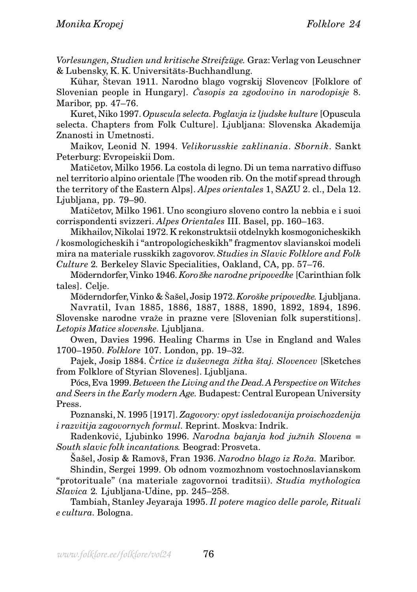*Vorlesungen, Studien und kritische Streifzüge.* Graz: Verlag von Leuschner & Lubensky, K. K. Universitäts-Buchhandlung.

Kühar, Števan 1911. Narodno blago vogrskij Slovencov [Folklore of Slovenian people in Hungary]. Č*asopis za zgodovino in narodopisje* 8. Maribor, pp. 47–76.

Kuret, Niko 1997. *Opuscula selecta. Poglavja iz ljudske kulture* [Opuscula selecta. Chapters from Folk Culture]. Ljubljana: Slovenska Akademija Znanosti in Umetnosti.

Maikov, Leonid N. 1994. *Velikorusskie zaklinania*. *Sbornik*. Sankt Peterburg: Evropeiskii Dom.

Matičetov, Milko 1956. La costola di legno. Di un tema narrativo diffuso nel territorio alpino orientale [The wooden rib. On the motif spread through the territory of the Eastern Alps]. *Alpes orientales* 1, SAZU 2. cl., Dela 12. Ljubljana, pp. 79–90.

Matičetov, Milko 1961. Uno scongiuro sloveno contro la nebbia e i suoi corrispondenti svizzeri. *Alpes Orientales* III. Basel, pp. 160–163.

Mikhailov, Nikolai 1972. K rekonstruktsii otdelnykh kosmogonicheskikh / kosmologicheskih i "antropologicheskikh" fragmentov slavianskoi modeli mira na materiale russkikh zagovorov. *Studies in Slavic Folklore and Folk Culture* 2*.* Berkeley Slavic Specialities, Oakland, CA, pp. 57–76.

Möderndorfer, Vinko 1946. *Koro*š*ke narodne pripovedke* [Carinthian folk tales]. Celje.

Möderndorfer, Vinko & Šašel, Josip 1972. *Koroške pripovedke.* Ljubljana.

Navratil, Ivan 1885, 1886, 1887, 1888, 1890, 1892, 1894, 1896. Slovenske narodne vraže in prazne vere [Slovenian folk superstitions]. *Letopis Matice slovenske.* Ljubljana.

Owen, Davies 1996. Healing Charms in Use in England and Wales 1700–1950. *Folklore* 107. London, pp. 19–32.

Pajek, Josip 1884. Črtice iz duševnega žitka štaj. Slovencev [Sketches from Folklore of Styrian Slovenes]. Ljubljana.

Pócs, Eva 1999. *Between the Living and the Dead. A Perspective on Witches and Seers in the Early modern Age.* Budapest: Central European University Press.

Poznanski, N. 1995 [1917]. *Zagovory: opyt issledovanija proischozdenija i razvitija zagovornych formul.* Reprint. Moskva: Indrik.

Radenković, Ljubinko 1996. *Narodna bajanja kod ju*ž*nih Slovena* = *South slavic folk incantations.* Beograd: Prosveta.

Šašel, Josip & Ramovš, Fran 1936. *Narodno blago iz Ro*ž*a.* Maribor.

Shindin, Sergei 1999. Ob odnom vozmozhnom vostochnoslavianskom "protorituale" (na materiale zagovornoi traditsii). *Studia mythologica Slavica* 2*.* Ljubljana-Udine, pp. 245–258.

Tambiah, Stanley Jeyaraja 1995. *Il potere magico delle parole, Rituali e cultura.* Bologna.